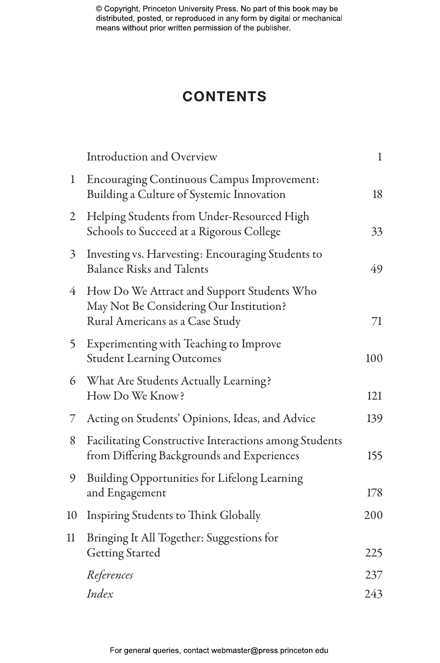# **CONTENTS**

|                | Introduction and Overview                                                                                                | $\mathbf{1}$ |
|----------------|--------------------------------------------------------------------------------------------------------------------------|--------------|
| $\mathbf 1$    | <b>Encouraging Continuous Campus Improvement:</b><br>Building a Culture of Systemic Innovation                           | 18           |
| $\overline{2}$ | Helping Students from Under-Resourced High<br>Schools to Succeed at a Rigorous College                                   | 33           |
| $\overline{3}$ | Investing vs. Harvesting: Encouraging Students to<br><b>Balance Risks and Talents</b>                                    | 49           |
| $\overline{4}$ | How Do We Attract and Support Students Who<br>May Not Be Considering Our Institution?<br>Rural Americans as a Case Study | 71           |
| 5              | Experimenting with Teaching to Improve<br><b>Student Learning Outcomes</b>                                               | 100          |
| 6              | What Are Students Actually Learning?<br>How Do We Know?                                                                  | 121          |
| 7              | Acting on Students' Opinions, Ideas, and Advice                                                                          | 139          |
| 8              | Facilitating Constructive Interactions among Students<br>from Differing Backgrounds and Experiences                      | 155          |
| 9              | Building Opportunities for Lifelong Learning<br>and Engagement                                                           | 178          |
| 10             | Inspiring Students to Think Globally                                                                                     | 200          |
| 11             | Bringing It All Together: Suggestions for<br><b>Getting Started</b>                                                      | 225          |
|                | References                                                                                                               | 237          |
|                | Index                                                                                                                    | 243          |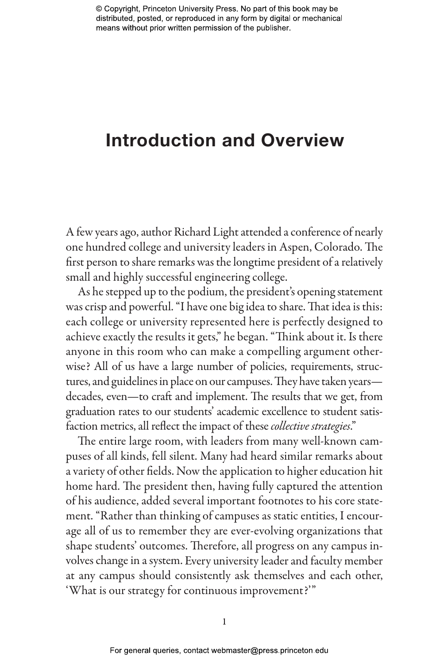# Introduction and Overview

A few years ago, author Richard Light attended a conference of nearly one hundred college and university leaders in Aspen, Colorado. The first person to share remarks was the longtime president of a relatively small and highly successful engineering college.

As he stepped up to the podium, the president's opening statement was crisp and powerful. "I have one big idea to share. That idea is this: each college or university represented here is perfectly designed to achieve exactly the results it gets," he began. "Think about it. Is there anyone in this room who can make a compelling argument otherwise? All of us have a large number of policies, requirements, structures, and guidelines in place on our campuses. They have taken years decades, even—to craft and implement. The results that we get, from graduation rates to our students' academic excellence to student satisfaction metrics, all reflect the impact of these *collective strategies*."

The entire large room, with leaders from many well-known campuses of all kinds, fell silent. Many had heard similar remarks about a variety of other fields. Now the application to higher education hit home hard. The president then, having fully captured the attention of his audience, added several important footnotes to his core statement. "Rather than thinking of campuses as static entities, I encourage all of us to remember they are ever-evolving organizations that shape students' outcomes. Therefore, all progress on any campus involves change in a system. Every university leader and faculty member at any campus should consistently ask themselves and each other, 'What is our strategy for continuous improvement?'"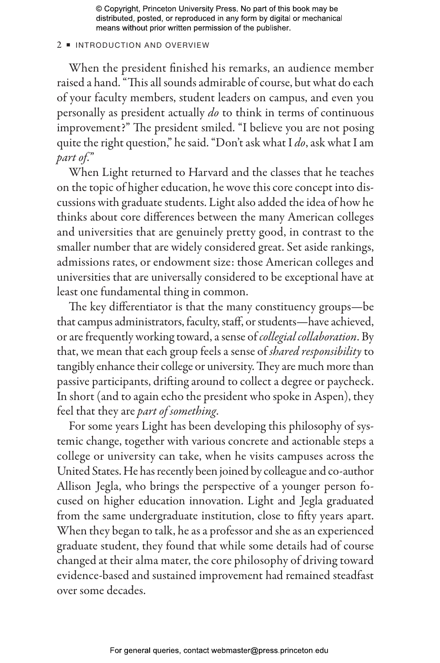### 2 ■ Introduction and Overview

When the president finished his remarks, an audience member raised a hand. "This all sounds admirable of course, but what do each of your faculty members, student leaders on campus, and even you personally as president actually *do* to think in terms of continuous improvement?" The president smiled. "I believe you are not posing quite the right question," he said. "Don't ask what I *do*, ask what I am *part of*."

When Light returned to Harvard and the classes that he teaches on the topic of higher education, he wove this core concept into discussions with graduate students. Light also added the idea of how he thinks about core differences between the many American colleges and universities that are genuinely pretty good, in contrast to the smaller number that are widely considered great. Set aside rankings, admissions rates, or endowment size: those American colleges and universities that are universally considered to be exceptional have at least one fundamental thing in common.

The key differentiator is that the many constituency groups—be that campus administrators, faculty, staff, or students—have achieved, or are frequently working toward, a sense of *collegial collaboration*. By that, we mean that each group feels a sense of *shared responsibility* to tangibly enhance their college or university. They are much more than passive participants, drifting around to collect a degree or paycheck. In short (and to again echo the president who spoke in Aspen), they feel that they are *part of something*.

For some years Light has been developing this philosophy of systemic change, together with various concrete and actionable steps a college or university can take, when he visits campuses across the United States. He has recently been joined by colleague and co-author Allison Jegla, who brings the perspective of a younger person focused on higher education innovation. Light and Jegla graduated from the same undergraduate institution, close to fifty years apart. When they began to talk, he as a professor and she as an experienced graduate student, they found that while some details had of course changed at their alma mater, the core philosophy of driving toward evidence-based and sustained improvement had remained steadfast over some decades.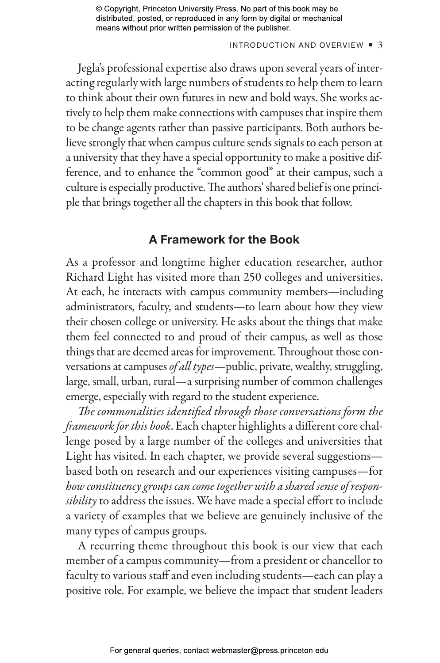#### Introduction and Overview ■ 3

Jegla's professional expertise also draws upon several years of interacting regularly with large numbers of students to help them to learn to think about their own futures in new and bold ways. She works actively to help them make connections with campuses that inspire them to be change agents rather than passive participants. Both authors believe strongly that when campus culture sends signals to each person at a university that they have a special opportunity to make a positive difference, and to enhance the "common good" at their campus, such a culture is especially productive. The authors' shared belief is one principle that brings together all the chapters in this book that follow.

### A Framework for the Book

As a professor and longtime higher education researcher, author Richard Light has visited more than 250 colleges and universities. At each, he interacts with campus community members—including administrators, faculty, and students—to learn about how they view their chosen college or university. He asks about the things that make them feel connected to and proud of their campus, as well as those things that are deemed areas for improvement. Throughout those conversations at campuses *of all types*—public, private, wealthy, struggling, large, small, urban, rural—a surprising number of common challenges emerge, especially with regard to the student experience.

*The commonalities identified through those conversations form the framework for this book*. Each chapter highlights a different core challenge posed by a large number of the colleges and universities that Light has visited. In each chapter, we provide several suggestions based both on research and our experiences visiting campuses—for *how constituency groups can come together with a shared sense of responsibility* to address the issues. We have made a special effort to include a variety of examples that we believe are genuinely inclusive of the many types of campus groups.

A recurring theme throughout this book is our view that each member of a campus community—from a president or chancellor to faculty to various staff and even including students—each can play a positive role. For example, we believe the impact that student leaders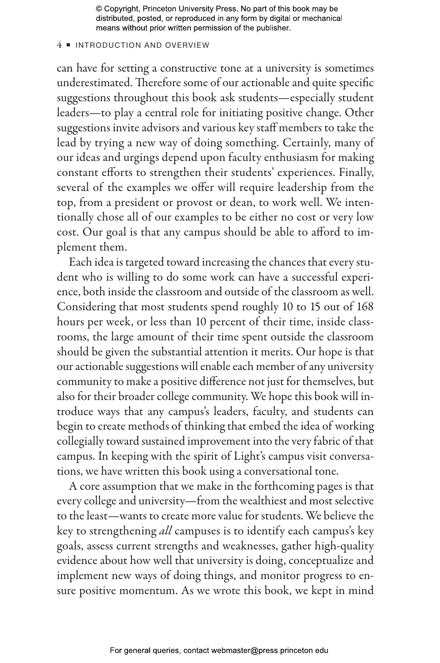### 4 ■ Introduction and Overview

can have for setting a constructive tone at a university is sometimes underestimated. Therefore some of our actionable and quite specific suggestions throughout this book ask students—especially student leaders—to play a central role for initiating positive change. Other suggestions invite advisors and various key staff members to take the lead by trying a new way of doing something. Certainly, many of our ideas and urgings depend upon faculty enthusiasm for making constant efforts to strengthen their students' experiences. Finally, several of the examples we offer will require leadership from the top, from a president or provost or dean, to work well. We intentionally chose all of our examples to be either no cost or very low cost. Our goal is that any campus should be able to afford to implement them.

Each idea is targeted toward increasing the chances that every student who is willing to do some work can have a successful experience, both inside the classroom and outside of the classroom as well. Considering that most students spend roughly 10 to 15 out of 168 hours per week, or less than 10 percent of their time, inside classrooms, the large amount of their time spent outside the classroom should be given the substantial attention it merits. Our hope is that our actionable suggestions will enable each member of any university community to make a positive difference not just for themselves, but also for their broader college community. We hope this book will introduce ways that any campus's leaders, faculty, and students can begin to create methods of thinking that embed the idea of working collegially toward sustained improvement into the very fabric of that campus. In keeping with the spirit of Light's campus visit conversations, we have written this book using a conversational tone.

A core assumption that we make in the forthcoming pages is that every college and university—from the wealthiest and most selective to the least—wants to create more value for students. We believe the key to strengthening *all* campuses is to identify each campus's key goals, assess current strengths and weaknesses, gather high-quality evidence about how well that university is doing, conceptualize and implement new ways of doing things, and monitor progress to ensure positive momentum. As we wrote this book, we kept in mind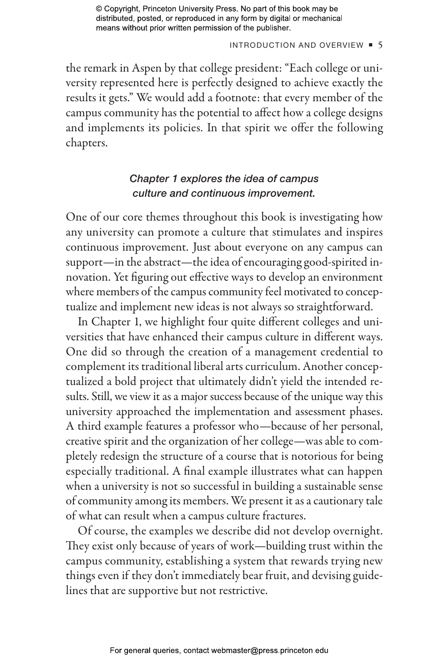Introduction and Overview ■ 5

the remark in Aspen by that college president: "Each college or university represented here is perfectly designed to achieve exactly the results it gets." We would add a footnote: that every member of the campus community has the potential to affect how a college designs and implements its policies. In that spirit we offer the following chapters.

### *Chapter 1 explores the idea of campus culture and continuous improvement.*

One of our core themes throughout this book is investigating how any university can promote a culture that stimulates and inspires continuous improvement. Just about everyone on any campus can support—in the abstract—the idea of encouraging good-spirited innovation. Yet figuring out effective ways to develop an environment where members of the campus community feel motivated to conceptualize and implement new ideas is not always so straightforward.

In Chapter 1, we highlight four quite different colleges and universities that have enhanced their campus culture in different ways. One did so through the creation of a management credential to complement its traditional liberal arts curriculum. Another conceptualized a bold project that ultimately didn't yield the intended results. Still, we view it as a major success because of the unique way this university approached the implementation and assessment phases. A third example features a professor who—because of her personal, creative spirit and the organization of her college—was able to completely redesign the structure of a course that is notorious for being especially traditional. A final example illustrates what can happen when a university is not so successful in building a sustainable sense of community among its members. We present it as a cautionary tale of what can result when a campus culture fractures.

Of course, the examples we describe did not develop overnight. They exist only because of years of work—building trust within the campus community, establishing a system that rewards trying new things even if they don't immediately bear fruit, and devising guidelines that are supportive but not restrictive.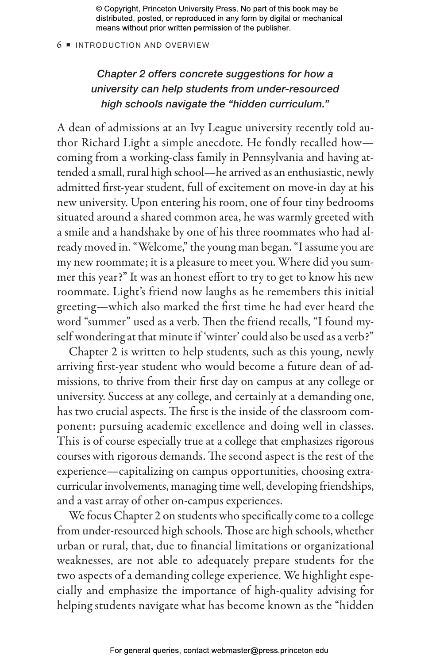### 6 ■ Introduction and Overview

# *Chapter 2 offers concrete suggestions for how a university can help students from under-resourced high schools navigate the "hidden curriculum."*

A dean of admissions at an Ivy League university recently told author Richard Light a simple anecdote. He fondly recalled how coming from a working-class family in Pennsylvania and having attended a small, rural high school—he arrived as an enthusiastic, newly admitted first-year student, full of excitement on move-in day at his new university. Upon entering his room, one of four tiny bedrooms situated around a shared common area, he was warmly greeted with a smile and a handshake by one of his three roommates who had already moved in. "Welcome," the young man began. "I assume you are my new roommate; it is a pleasure to meet you. Where did you summer this year?" It was an honest effort to try to get to know his new roommate. Light's friend now laughs as he remembers this initial greeting—which also marked the first time he had ever heard the word "summer" used as a verb. Then the friend recalls, "I found myself wondering at that minute if 'winter' could also be used as a verb?"

Chapter 2 is written to help students, such as this young, newly arriving first-year student who would become a future dean of admissions, to thrive from their first day on campus at any college or university. Success at any college, and certainly at a demanding one, has two crucial aspects. The first is the inside of the classroom component: pursuing academic excellence and doing well in classes. This is of course especially true at a college that emphasizes rigorous courses with rigorous demands. The second aspect is the rest of the experience—capitalizing on campus opportunities, choosing extracurricular involvements, managing time well, developing friendships, and a vast array of other on-campus experiences.

We focus Chapter 2 on students who specifically come to a college from under-resourced high schools. Those are high schools, whether urban or rural, that, due to financial limitations or organizational weaknesses, are not able to adequately prepare students for the two aspects of a demanding college experience. We highlight especially and emphasize the importance of high-quality advising for helping students navigate what has become known as the "hidden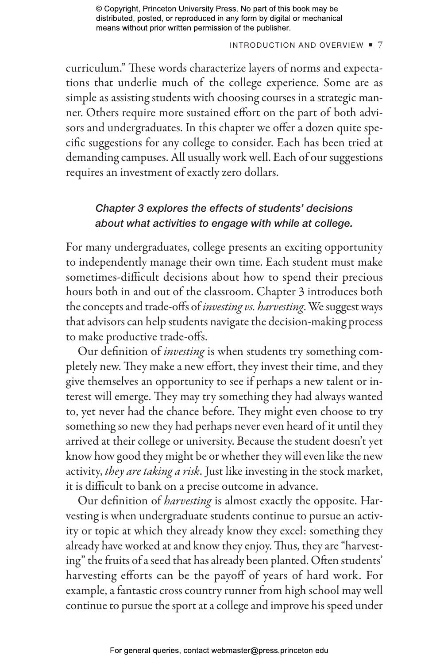#### Introduction and Overview ■ 7

curriculum." These words characterize layers of norms and expectations that underlie much of the college experience. Some are as simple as assisting students with choosing courses in a strategic manner. Others require more sustained effort on the part of both advisors and undergraduates. In this chapter we offer a dozen quite specific suggestions for any college to consider. Each has been tried at demanding campuses. All usually work well. Each of our suggestions requires an investment of exactly zero dollars.

### *Chapter 3 explores the effects of students' decisions about what activities to engage with while at college.*

For many undergraduates, college presents an exciting opportunity to independently manage their own time. Each student must make sometimes-difficult decisions about how to spend their precious hours both in and out of the classroom. Chapter 3 introduces both the concepts and trade-offs of *investing vs. harvesting*. We suggest ways that advisors can help students navigate the decision-making process to make productive trade-offs.

Our definition of *investing* is when students try something completely new. They make a new effort, they invest their time, and they give themselves an opportunity to see if perhaps a new talent or interest will emerge. They may try something they had always wanted to, yet never had the chance before. They might even choose to try something so new they had perhaps never even heard of it until they arrived at their college or university. Because the student doesn't yet know how good they might be or whether they will even like the new activity, *they are taking a risk*. Just like investing in the stock market, it is difficult to bank on a precise outcome in advance.

Our definition of *harvesting* is almost exactly the opposite. Harvesting is when undergraduate students continue to pursue an activity or topic at which they already know they excel: something they already have worked at and know they enjoy. Thus, they are "harvesting" the fruits of a seed that has already been planted. Often students' harvesting efforts can be the payoff of years of hard work. For example, a fantastic cross country runner from high school may well continue to pursue the sport at a college and improve his speed under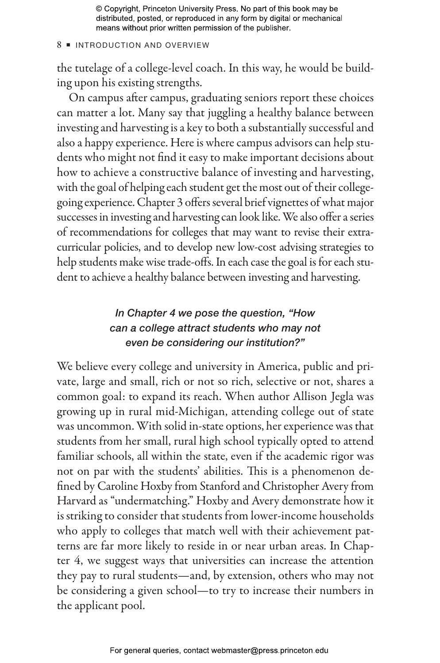### 8 ■ Introduction and Overview

the tutelage of a college-level coach. In this way, he would be building upon his existing strengths.

On campus after campus, graduating seniors report these choices can matter a lot. Many say that juggling a healthy balance between investing and harvesting is a key to both a substantially successful and also a happy experience. Here is where campus advisors can help students who might not find it easy to make important decisions about how to achieve a constructive balance of investing and harvesting, with the goal of helping each student get the most out of their collegegoing experience. Chapter 3 offers several brief vignettes of what major successes in investing and harvesting can look like. We also offer a series of recommendations for colleges that may want to revise their extracurricular policies, and to develop new low-cost advising strategies to help students make wise trade-offs. In each case the goal is for each student to achieve a healthy balance between investing and harvesting.

# *In Chapter 4 we pose the question, "How can a college attract students who may not even be considering our institution?"*

We believe every college and university in America, public and private, large and small, rich or not so rich, selective or not, shares a common goal: to expand its reach. When author Allison Jegla was growing up in rural mid-Michigan, attending college out of state was uncommon. With solid in-state options, her experience was that students from her small, rural high school typically opted to attend familiar schools, all within the state, even if the academic rigor was not on par with the students' abilities. This is a phenomenon defined by Caroline Hoxby from Stanford and Christopher Avery from Harvard as "undermatching." Hoxby and Avery demonstrate how it is striking to consider that students from lower-income households who apply to colleges that match well with their achievement patterns are far more likely to reside in or near urban areas. In Chapter 4, we suggest ways that universities can increase the attention they pay to rural students—and, by extension, others who may not be considering a given school—to try to increase their numbers in the applicant pool.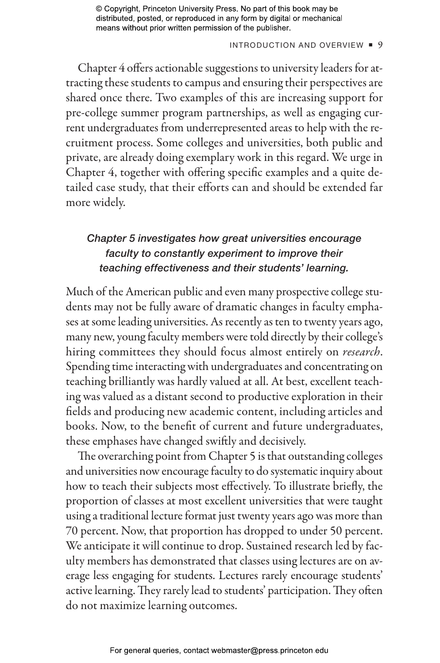#### Introduction and Overview ■ 9

Chapter 4 offers actionable suggestions to university leaders for attracting these students to campus and ensuring their perspectives are shared once there. Two examples of this are increasing support for pre-college summer program partnerships, as well as engaging current undergraduates from underrepresented areas to help with the recruitment process. Some colleges and universities, both public and private, are already doing exemplary work in this regard. We urge in Chapter 4, together with offering specific examples and a quite detailed case study, that their efforts can and should be extended far more widely.

# *Chapter 5 investigates how great universities encourage faculty to constantly experiment to improve their teaching effectiveness and their students' learning.*

Much of the American public and even many prospective college students may not be fully aware of dramatic changes in faculty emphases at some leading universities. As recently as ten to twenty years ago, many new, young faculty members were told directly by their college's hiring committees they should focus almost entirely on *research*. Spending time interacting with undergraduates and concentrating on teaching brilliantly was hardly valued at all. At best, excellent teaching was valued as a distant second to productive exploration in their fields and producing new academic content, including articles and books. Now, to the benefit of current and future undergraduates, these emphases have changed swiftly and decisively.

The overarching point from Chapter 5 is that outstanding colleges and universities now encourage faculty to do systematic inquiry about how to teach their subjects most effectively. To illustrate briefly, the proportion of classes at most excellent universities that were taught using a traditional lecture format just twenty years ago was more than 70 percent. Now, that proportion has dropped to under 50 percent. We anticipate it will continue to drop. Sustained research led by faculty members has demonstrated that classes using lectures are on average less engaging for students. Lectures rarely encourage students' active learning. They rarely lead to students' participation. They often do not maximize learning outcomes.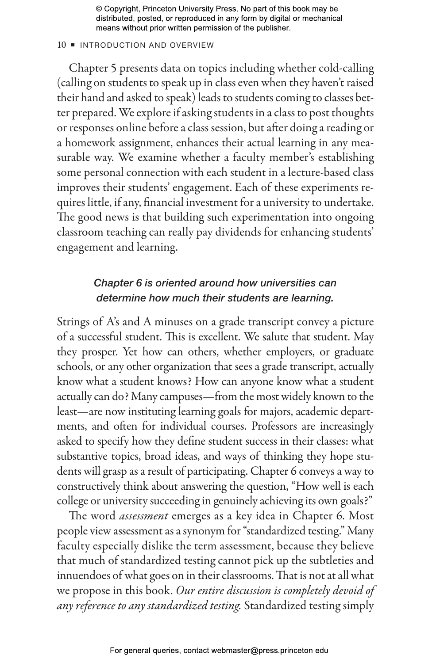### 10 ■ Introduction and Overview

Chapter 5 presents data on topics including whether cold-calling (calling on students to speak up in class even when they haven't raised their hand and asked to speak) leads to students coming to classes better prepared. We explore if asking students in a class to post thoughts or responses online before a class session, but after doing a reading or a homework assignment, enhances their actual learning in any measurable way. We examine whether a faculty member's establishing some personal connection with each student in a lecture-based class improves their students' engagement. Each of these experiments requires little, if any, financial investment for a university to undertake. The good news is that building such experimentation into ongoing classroom teaching can really pay dividends for enhancing students' engagement and learning.

### *Chapter 6 is oriented around how universities can determine how much their students are learning.*

Strings of A's and A minuses on a grade transcript convey a picture of a successful student. This is excellent. We salute that student. May they prosper. Yet how can others, whether employers, or graduate schools, or any other organization that sees a grade transcript, actually know what a student knows? How can anyone know what a student actually can do? Many campuses—from the most widely known to the least—are now instituting learning goals for majors, academic departments, and often for individual courses. Professors are increasingly asked to specify how they define student success in their classes: what substantive topics, broad ideas, and ways of thinking they hope students will grasp as a result of participating. Chapter 6 conveys a way to constructively think about answering the question, "How well is each college or university succeeding in genuinely achieving its own goals?"

The word *assessment* emerges as a key idea in Chapter 6. Most people view assessment as a synonym for "standardized testing." Many faculty especially dislike the term assessment, because they believe that much of standardized testing cannot pick up the subtleties and innuendoes of what goes on in their classrooms. That is not at all what we propose in this book. *Our entire discussion is completely devoid of any reference to any standardized testing.* Standardized testing simply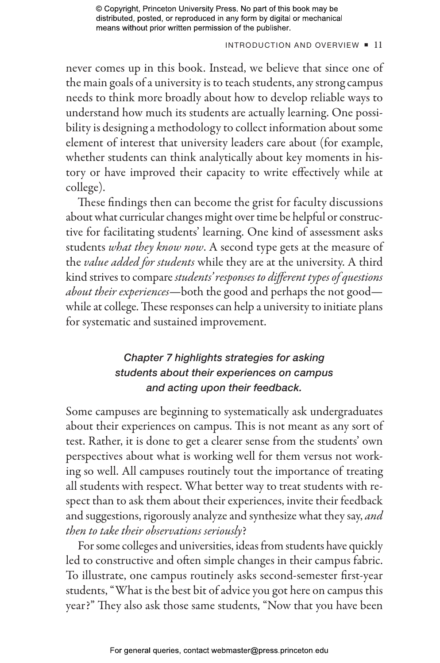### Introduction and Overview ■ 11

never comes up in this book. Instead, we believe that since one of the main goals of a university is to teach students, any strong campus needs to think more broadly about how to develop reliable ways to understand how much its students are actually learning. One possibility is designing a methodology to collect information about some element of interest that university leaders care about (for example, whether students can think analytically about key moments in history or have improved their capacity to write effectively while at college).

These findings then can become the grist for faculty discussions about what curricular changes might over time be helpful or constructive for facilitating students' learning. One kind of assessment asks students *what they know now*. A second type gets at the measure of the *value added for students* while they are at the university. A third kind strives to compare *students' responses to diferent types of questions about their experiences*—both the good and perhaps the not good while at college. These responses can help a university to initiate plans for systematic and sustained improvement.

### *Chapter 7 highlights strategies for asking students about their experiences on campus and acting upon their feedback.*

Some campuses are beginning to systematically ask undergraduates about their experiences on campus. This is not meant as any sort of test. Rather, it is done to get a clearer sense from the students' own perspectives about what is working well for them versus not working so well. All campuses routinely tout the importance of treating all students with respect. What better way to treat students with respect than to ask them about their experiences, invite their feedback and suggestions, rigorously analyze and synthesize what they say, *and then to take their observations seriously*?

For some colleges and universities, ideas from students have quickly led to constructive and often simple changes in their campus fabric. To illustrate, one campus routinely asks second-semester first-year students, "What is the best bit of advice you got here on campus this year?" They also ask those same students, "Now that you have been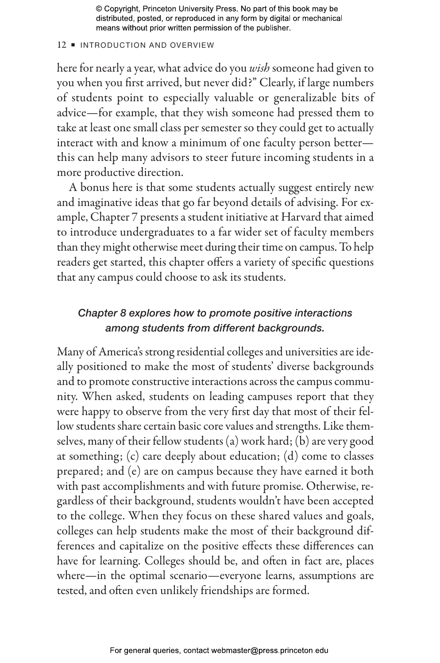### 12 ■ Introduction and Overview

here for nearly a year, what advice do you *wish* someone had given to you when you first arrived, but never did?" Clearly, if large numbers of students point to especially valuable or generalizable bits of advice—for example, that they wish someone had pressed them to take at least one small class per semester so they could get to actually interact with and know a minimum of one faculty person better this can help many advisors to steer future incoming students in a more productive direction.

A bonus here is that some students actually suggest entirely new and imaginative ideas that go far beyond details of advising. For example, Chapter 7 presents a student initiative at Harvard that aimed to introduce undergraduates to a far wider set of faculty members than they might otherwise meet during their time on campus. To help readers get started, this chapter offers a variety of specific questions that any campus could choose to ask its students.

### *Chapter 8 explores how to promote positive interactions among students from different backgrounds.*

Many of America's strong residential colleges and universities are ideally positioned to make the most of students' diverse backgrounds and to promote constructive interactions across the campus community. When asked, students on leading campuses report that they were happy to observe from the very first day that most of their fellow students share certain basic core values and strengths. Like themselves, many of their fellow students (a) work hard; (b) are very good at something; (c) care deeply about education; (d) come to classes prepared; and (e) are on campus because they have earned it both with past accomplishments and with future promise. Otherwise, regardless of their background, students wouldn't have been accepted to the college. When they focus on these shared values and goals, colleges can help students make the most of their background differences and capitalize on the positive effects these differences can have for learning. Colleges should be, and often in fact are, places where—in the optimal scenario—everyone learns, assumptions are tested, and often even unlikely friendships are formed.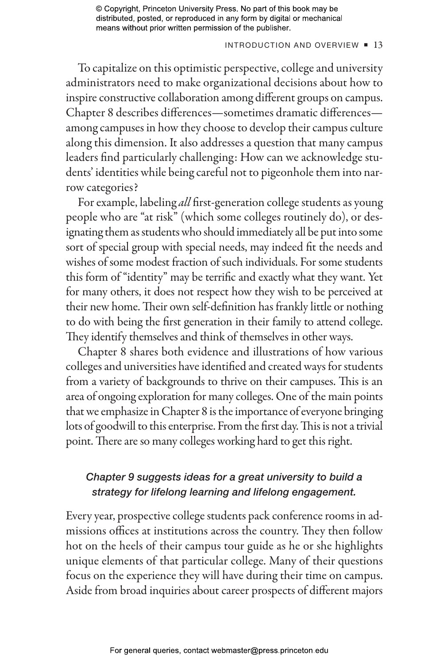#### Introduction and Overview ■ 13

To capitalize on this optimistic perspective, college and university administrators need to make organizational decisions about how to inspire constructive collaboration among different groups on campus. Chapter 8 describes differences—sometimes dramatic differences among campuses in how they choose to develop their campus culture along this dimension. It also addresses a question that many campus leaders find particularly challenging: How can we acknowledge students' identities while being careful not to pigeonhole them into narrow categories?

For example, labeling *all* first-generation college students as young people who are "at risk" (which some colleges routinely do), or designating them as students who should immediately all be put into some sort of special group with special needs, may indeed fit the needs and wishes of some modest fraction of such individuals. For some students this form of "identity" may be terrific and exactly what they want. Yet for many others, it does not respect how they wish to be perceived at their new home. Their own self-definition has frankly little or nothing to do with being the first generation in their family to attend college. They identify themselves and think of themselves in other ways.

Chapter 8 shares both evidence and illustrations of how various colleges and universities have identified and created ways for students from a variety of backgrounds to thrive on their campuses. This is an area of ongoing exploration for many colleges. One of the main points that we emphasize in Chapter 8 is the importance of everyone bringing lots of goodwill to this enterprise. From the first day. This is not a trivial point. There are so many colleges working hard to get this right.

### *Chapter 9 suggests ideas for a great university to build a strategy for lifelong learning and lifelong engagement.*

Every year, prospective college students pack conference rooms in admissions offices at institutions across the country. They then follow hot on the heels of their campus tour guide as he or she highlights unique elements of that particular college. Many of their questions focus on the experience they will have during their time on campus. Aside from broad inquiries about career prospects of different majors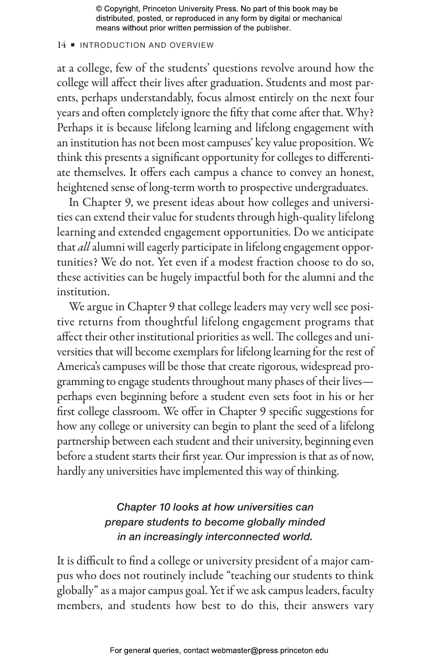### 14 ■ Introduction and Overview

at a college, few of the students' questions revolve around how the college will affect their lives after graduation. Students and most parents, perhaps understandably, focus almost entirely on the next four years and often completely ignore the fifty that come after that. Why? Perhaps it is because lifelong learning and lifelong engagement with an institution has not been most campuses' key value proposition. We think this presents a significant opportunity for colleges to differentiate themselves. It offers each campus a chance to convey an honest, heightened sense of long-term worth to prospective undergraduates.

In Chapter 9, we present ideas about how colleges and universities can extend their value for students through high-quality lifelong learning and extended engagement opportunities. Do we anticipate that *all* alumni will eagerly participate in lifelong engagement opportunities? We do not. Yet even if a modest fraction choose to do so, these activities can be hugely impactful both for the alumni and the institution.

We argue in Chapter 9 that college leaders may very well see positive returns from thoughtful lifelong engagement programs that affect their other institutional priorities as well. The colleges and universities that will become exemplars for lifelong learning for the rest of America's campuses will be those that create rigorous, widespread programming to engage students throughout many phases of their lives perhaps even beginning before a student even sets foot in his or her first college classroom. We offer in Chapter 9 specific suggestions for how any college or university can begin to plant the seed of a lifelong partnership between each student and their university, beginning even before a student starts their first year. Our impression is that as of now, hardly any universities have implemented this way of thinking.

### *Chapter 10 looks at how universities can prepare students to become globally minded in an increasingly interconnected world.*

It is difficult to find a college or university president of a major campus who does not routinely include "teaching our students to think globally" as a major campus goal. Yet if we ask campus leaders, faculty members, and students how best to do this, their answers vary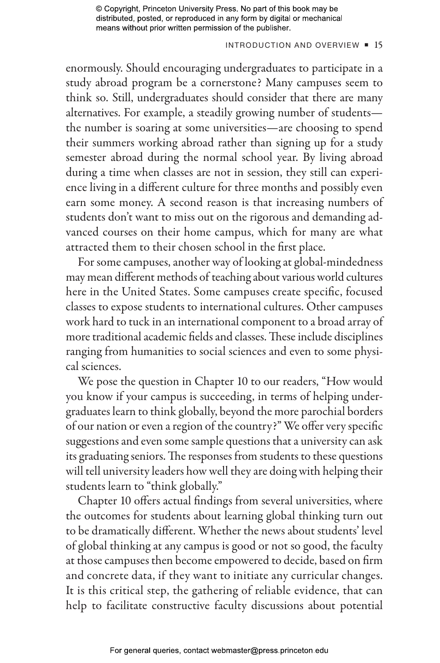#### Introduction and Overview ■ 15

enormously. Should encouraging undergraduates to participate in a study abroad program be a cornerstone? Many campuses seem to think so. Still, undergraduates should consider that there are many alternatives. For example, a steadily growing number of students the number is soaring at some universities—are choosing to spend their summers working abroad rather than signing up for a study semester abroad during the normal school year. By living abroad during a time when classes are not in session, they still can experience living in a different culture for three months and possibly even earn some money. A second reason is that increasing numbers of students don't want to miss out on the rigorous and demanding advanced courses on their home campus, which for many are what attracted them to their chosen school in the first place.

For some campuses, another way of looking at global-mindedness may mean different methods of teaching about various world cultures here in the United States. Some campuses create specific, focused classes to expose students to international cultures. Other campuses work hard to tuck in an international component to a broad array of more traditional academic fields and classes. These include disciplines ranging from humanities to social sciences and even to some physical sciences.

We pose the question in Chapter 10 to our readers, "How would you know if your campus is succeeding, in terms of helping undergraduates learn to think globally, beyond the more parochial borders of our nation or even a region of the country?" We offer very specific suggestions and even some sample questions that a university can ask its graduating seniors. The responses from students to these questions will tell university leaders how well they are doing with helping their students learn to "think globally."

Chapter 10 offers actual findings from several universities, where the outcomes for students about learning global thinking turn out to be dramatically different. Whether the news about students' level of global thinking at any campus is good or not so good, the faculty at those campuses then become empowered to decide, based on firm and concrete data, if they want to initiate any curricular changes. It is this critical step, the gathering of reliable evidence, that can help to facilitate constructive faculty discussions about potential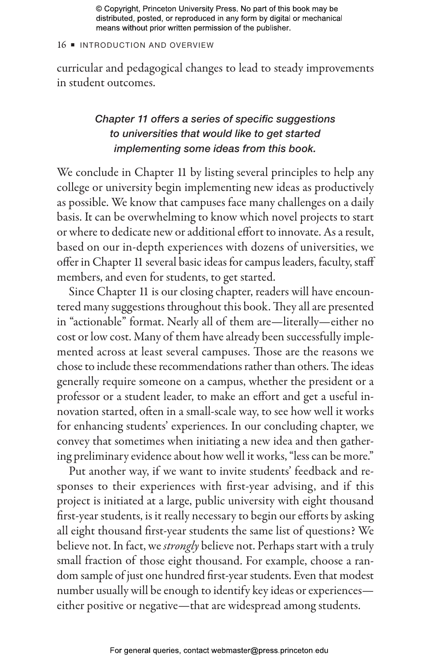### 16 ■ Introduction and Overview

curricular and pedagogical changes to lead to steady improvements in student outcomes.

# *Chapter 11 offers a series of specific suggestions to universities that would like to get started implementing some ideas from this book.*

We conclude in Chapter 11 by listing several principles to help any college or university begin implementing new ideas as productively as possible. We know that campuses face many challenges on a daily basis. It can be overwhelming to know which novel projects to start or where to dedicate new or additional effort to innovate. As a result, based on our in-depth experiences with dozens of universities, we offer in Chapter 11 several basic ideas for campus leaders, faculty, staff members, and even for students, to get started.

Since Chapter 11 is our closing chapter, readers will have encountered many suggestions throughout this book. They all are presented in "actionable" format. Nearly all of them are—literally—either no cost or low cost. Many of them have already been successfully implemented across at least several campuses. Those are the reasons we chose to include these recommendations rather than others. The ideas generally require someone on a campus, whether the president or a professor or a student leader, to make an effort and get a useful innovation started, often in a small-scale way, to see how well it works for enhancing students' experiences. In our concluding chapter, we convey that sometimes when initiating a new idea and then gathering preliminary evidence about how well it works, "less can be more."

Put another way, if we want to invite students' feedback and responses to their experiences with first-year advising, and if this project is initiated at a large, public university with eight thousand first-year students, is it really necessary to begin our efforts by asking all eight thousand first-year students the same list of questions? We believe not. In fact, we *strongly* believe not. Perhaps start with a truly small fraction of those eight thousand. For example, choose a random sample of just one hundred first-year students. Even that modest number usually will be enough to identify key ideas or experiences either positive or negative—that are widespread among students.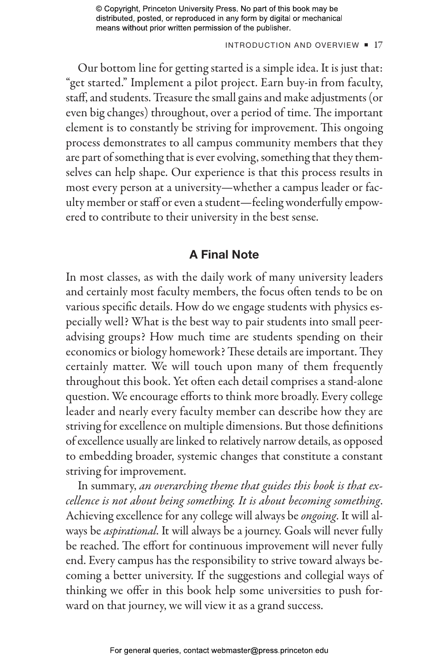#### Introduction and Overview ■ 17

Our bottom line for getting started is a simple idea. It is just that: "get started." Implement a pilot project. Earn buy-in from faculty, staff, and students. Treasure the small gains and make adjustments (or even big changes) throughout, over a period of time. The important element is to constantly be striving for improvement. This ongoing process demonstrates to all campus community members that they are part of something that is ever evolving, something that they themselves can help shape. Our experience is that this process results in most every person at a university—whether a campus leader or faculty member or staff or even a student—feeling wonderfully empowered to contribute to their university in the best sense.

### A Final Note

In most classes, as with the daily work of many university leaders and certainly most faculty members, the focus often tends to be on various specific details. How do we engage students with physics especially well? What is the best way to pair students into small peeradvising groups? How much time are students spending on their economics or biology homework? These details are important. They certainly matter. We will touch upon many of them frequently throughout this book. Yet often each detail comprises a stand-alone question. We encourage efforts to think more broadly. Every college leader and nearly every faculty member can describe how they are striving for excellence on multiple dimensions. But those definitions of excellence usually are linked to relatively narrow details, as opposed to embedding broader, systemic changes that constitute a constant striving for improvement.

In summary, *an overarching theme that guides this book is that excellence is not about being something. It is about becoming something*. Achieving excellence for any college will always be *ongoing*. It will always be *aspirational*. It will always be a journey. Goals will never fully be reached. The effort for continuous improvement will never fully end. Every campus has the responsibility to strive toward always becoming a better university. If the suggestions and collegial ways of thinking we offer in this book help some universities to push forward on that journey, we will view it as a grand success.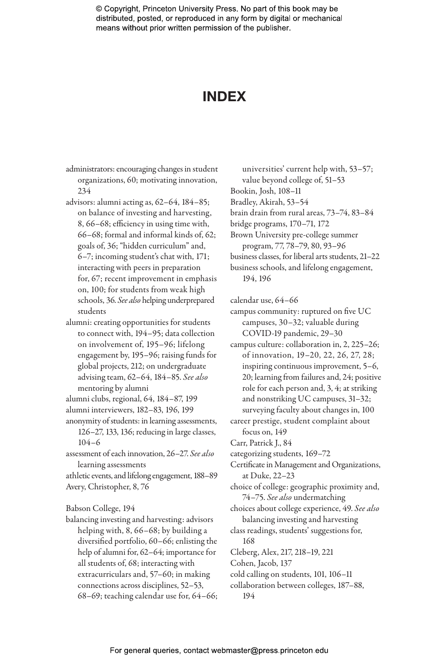# INDEX

- administrators: encouraging changes in student organizations, 60; motivating innovation, 234
- advisors: alumni acting as, 62–64, 184–85; on balance of investing and harvesting, 8, 66–68; efficiency in using time with, 66–68; formal and informal kinds of, 62; goals of, 36; "hidden curriculum" and, 6–7; incoming student's chat with, 171; interacting with peers in preparation for, 67; recent improvement in emphasis on, 100; for students from weak high schools, 36. *See also* helping underprepared students
- alumni: creating opportunities for students to connect with, 194–95; data collection on involvement of, 195–96; lifelong engagement by, 195–96; raising funds for global projects, 212; on undergraduate advising team, 62–64, 184–85. *See also* mentoring by alumni
- alumni clubs, regional, 64, 184–87, 199
- alumni interviewers, 182–83, 196, 199
- anonymity of students: in learning assessments, 126–27, 133, 136; reducing in large classes, 104–6
- assessment of each innovation, 26–27. *See also* learning assessments
- athletic events, and lifelong engagement, 188–89 Avery, Christopher, 8, 76

balancing investing and harvesting: advisors helping with, 8, 66–68; by building a diversified portfolio, 60–66; enlisting the help of alumni for, 62–64; importance for all students of, 68; interacting with extracurriculars and, 57–60; in making connections across disciplines, 52–53, 68–69; teaching calendar use for, 64–66;

- universities' current help with, 53–57; value beyond college of, 51–53
- Bookin, Josh, 108–11
- Bradley, Akirah, 53–54
- brain drain from rural areas, 73–74, 83–84
- bridge programs, 170–71, 172
- Brown University pre-college summer
- program, 77, 78–79, 80, 93–96
- business classes, for liberal arts students, 21–22 business schools, and lifelong engagement,
- 194, 196
- calendar use, 64–66
- campus community: ruptured on five UC campuses, 30–32; valuable during COVID-19 pandemic, 29–30
- campus culture: collaboration in, 2, 225–26; of innovation, 19–20, 22, 26, 27, 28; inspiring continuous improvement, 5–6, 20; learning from failures and, 24; positive role for each person and, 3, 4; at striking and nonstriking UC campuses, 31–32; surveying faculty about changes in, 100
- career prestige, student complaint about focus on, 149
- Carr, Patrick J., 84
- categorizing students, 169–72
- Certificate in Management and Organizations, at Duke, 22–23
- choice of college: geographic proximity and, 74–75. *See also* undermatching
- choices about college experience, 49. *See also* balancing investing and harvesting
- class readings, students' suggestions for, 168
- Cleberg, Alex, 217, 218–19, 221
- Cohen, Jacob, 137
- cold calling on students, 101, 106–11
- collaboration between colleges, 187–88, 194

Babson College, 194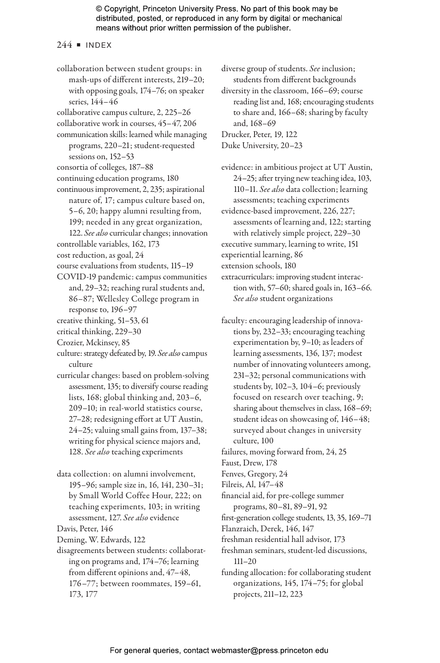#### 244 ■ INDEX

collaboration between student groups: in mash-ups of different interests, 219–20; with opposing goals, 174–76; on speaker series, 144–46 collaborative campus culture, 2, 225–26 collaborative work in courses, 45–47, 206 communication skills: learned while managing programs, 220–21; student-requested sessions on, 152–53 consortia of colleges, 187–88 continuing education programs, 180 continuous improvement, 2, 235; aspirational nature of, 17; campus culture based on, 5–6, 20; happy alumni resulting from, 199; needed in any great organization, 122. *See also* curricular changes; innovation controllable variables, 162, 173 cost reduction, as goal, 24 course evaluations from students, 115–19 COVID-19 pandemic: campus communities and, 29–32; reaching rural students and, 86–87; Wellesley College program in response to, 196–97 creative thinking, 51–53, 61 critical thinking, 229–30 Crozier, Mckinsey, 85 culture: strategy defeated by, 19. *See also* campus culture curricular changes: based on problem-solving assessment, 135; to diversify course reading lists, 168; global thinking and, 203–6, 209–10; in real-world statistics course, 27–28; redesigning effort at UT Austin, 24–25; valuing small gains from, 137–38; writing for physical science majors and, 128. *See also* teaching experiments data collection: on alumni involvement, 195–96; sample size in, 16, 141, 230–31; by Small World Coffee Hour, 222; on teaching experiments, 103; in writing assessment, 127. *See also* evidence Davis, Peter, 146 Deming, W. Edwards, 122 disagreements between students: collaborating on programs and, 174–76; learning

from different opinions and, 47–48, 176–77; between roommates, 159–61, 173, 177

diverse group of students. *See* inclusion; students from different backgrounds

diversity in the classroom, 166–69; course reading list and, 168; encouraging students to share and, 166–68; sharing by faculty and, 168–69

Drucker, Peter, 19, 122 Duke University, 20–23

evidence: in ambitious project at UT Austin, 24–25; after trying new teaching idea, 103, 110–11. *See also* data collection; learning assessments; teaching experiments

evidence-based improvement, 226, 227; assessments of learning and, 122; starting with relatively simple project, 229–30

executive summary, learning to write, 151

experiential learning, 86

extension schools, 180

extracurriculars: improving student interaction with, 57–60; shared goals in, 163–66. *See also* student organizations

faculty: encouraging leadership of innovations by, 232–33; encouraging teaching experimentation by, 9–10; as leaders of learning assessments, 136, 137; modest number of innovating volunteers among, 231–32; personal communications with students by, 102–3, 104–6; previously focused on research over teaching, 9; sharing about themselves in class, 168–69; student ideas on showcasing of, 146–48; surveyed about changes in university culture, 100 failures, moving forward from, 24, 25 Faust, Drew, 178 Fenves, Gregory, 24 Filreis, Al, 147–48 financial aid, for pre-college summer programs, 80–81, 89–91, 92 first-generation college students, 13, 35, 169–71 Flanzraich, Derek, 146, 147 freshman residential hall advisor, 173 freshman seminars, student-led discussions, 111–20

funding allocation: for collaborating student organizations, 145, 174–75; for global projects, 211–12, 223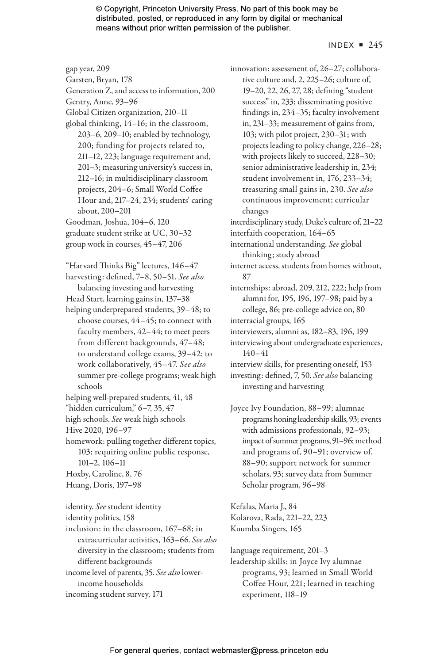#### $INDEX = 245$

gap year, 209 Garsten, Bryan, 178 Generation Z, and access to information, 200 Gentry, Anne, 93–96 Global Citizen organization, 210–11 global thinking, 14–16; in the classroom, 203–6, 209–10; enabled by technology, 200; funding for projects related to, 211–12, 223; language requirement and, 201–3; measuring university's success in, 212–16; in multidisciplinary classroom projects, 204–6; Small World Coffee Hour and, 217–24, 234; students' caring about, 200–201 Goodman, Joshua, 104–6, 120 graduate student strike at UC, 30–32 group work in courses, 45–47, 206 "Harvard Thinks Big" lectures, 146–47 harvesting: defined, 7–8, 50–51. *See also* balancing investing and harvesting Head Start, learning gains in, 137–38 helping underprepared students, 39–48; to choose courses, 44–45; to connect with faculty members, 42–44; to meet peers from different backgrounds, 47–48; to understand college exams, 39–42; to work collaboratively, 45–47. *See also* summer pre-college programs; weak high schools helping well-prepared students, 41, 48 "hidden curriculum," 6–7, 35, 47 high schools. *See* weak high schools Hive 2020, 196–97 homework: pulling together different topics, 103; requiring online public response, 101–2, 106–11 Hoxby, Caroline, 8, 76 Huang, Doris, 197–98 identity. *See* student identity identity politics, 158 inclusion: in the classroom, 167–68; in extracurricular activities, 163–66. *See also* diversity in the classroom; students from different backgrounds income level of parents, 35. *See also* lowerincome households incoming student survey, 171

innovation: assessment of, 26–27; collaborative culture and, 2, 225–26; culture of, 19–20, 22, 26, 27, 28; defining "student success" in, 233; disseminating positive findings in, 234–35; faculty involvement in, 231–33; measurement of gains from, 103; with pilot project, 230–31; with projects leading to policy change, 226–28; with projects likely to succeed, 228–30; senior administrative leadership in, 234; student involvement in, 176, 233–34; treasuring small gains in, 230. *See also* continuous improvement; curricular changes interdisciplinary study, Duke's culture of, 21–22 interfaith cooperation, 164–65 international understanding. *See* global thinking; study abroad internet access, students from homes without, 87 internships: abroad, 209, 212, 222; help from alumni for, 195, 196, 197–98; paid by a college, 86; pre-college advice on, 80 interracial groups, 165 interviewers, alumni as, 182–83, 196, 199 interviewing about undergraduate experiences, 140–41 interview skills, for presenting oneself, 153 investing: defined, 7, 50. *See also* balancing investing and harvesting

Joyce Ivy Foundation, 88–99; alumnae programs honing leadership skills, 93; events with admissions professionals, 92–93; impact of summer programs, 91–96; method and programs of, 90–91; overview of, 88–90; support network for summer scholars, 93; survey data from Summer Scholar program, 96–98

Kefalas, Maria J., 84 Kolarova, Rada, 221–22, 223 Kuumba Singers, 165

language requirement, 201–3 leadership skills: in Joyce Ivy alumnae programs, 93; learned in Small World Coffee Hour, 221; learned in teaching experiment, 118–19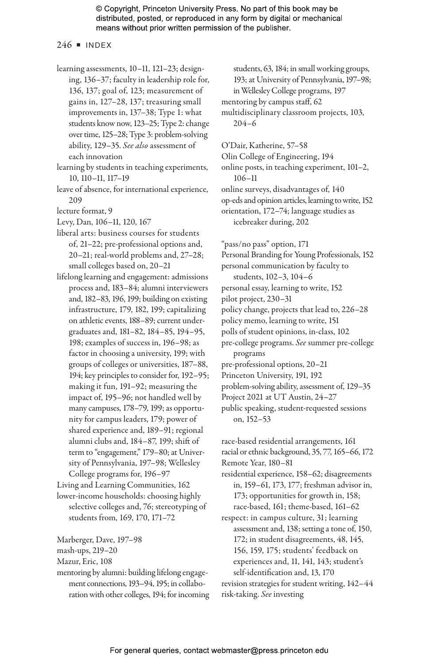246 ■ INDEX

- learning assessments, 10–11, 121–23; designing, 136–37; faculty in leadership role for, 136, 137; goal of, 123; measurement of gains in, 127–28, 137; treasuring small improvements in, 137–38; Type 1: what students know now, 123–25; Type 2: change over time, 125–28; Type 3: problem-solving ability, 129–35. *See also* assessment of each innovation
- learning by students in teaching experiments, 10, 110–11, 117–19
- leave of absence, for international experience, 209
- lecture format, 9
- Levy, Dan, 106–11, 120, 167
- liberal arts: business courses for students of, 21–22; pre-professional options and, 20–21; real-world problems and, 27–28; small colleges based on, 20–21
- lifelong learning and engagement: admissions process and, 183–84; alumni interviewers and, 182–83, 196, 199; building on existing infrastructure, 179, 182, 199; capitalizing on athletic events, 188–89; current undergraduates and, 181–82, 184–85, 194–95, 198; examples of success in, 196–98; as factor in choosing a university, 199; with groups of colleges or universities, 187–88, 194; key principles to consider for, 192–95; making it fun, 191–92; measuring the impact of, 195–96; not handled well by many campuses, 178–79, 199; as opportunity for campus leaders, 179; power of shared experience and, 189–91; regional alumni clubs and, 184–87, 199; shift of term to "engagement," 179-80; at University of Pennsylvania, 197–98; Wellesley College programs for, 196–97
- Living and Learning Communities, 162
- lower-income households: choosing highly selective colleges and, 76; stereotyping of students from, 169, 170, 171–72

Marberger, Dave, 197–98

mash-ups, 219–20

Mazur, Eric, 108

mentoring by alumni: building lifelong engagement connections, 193–94, 195; in collaboration with other colleges, 194; for incoming

students, 63, 184; in small working groups, 193; at University of Pennsylvania, 197–98; in Wellesley College programs, 197 mentoring by campus staff, 62 multidisciplinary classroom projects, 103, 204–6

O'Dair, Katherine, 57–58 Olin College of Engineering, 194 online posts, in teaching experiment, 101–2, 106–11 online surveys, disadvantages of, 140 op-eds and opinion articles, learning to write, 152 orientation, 172–74; language studies as

icebreaker during, 202

"pass/no pass" option, 171 Personal Branding for Young Professionals, 152 personal communication by faculty to students, 102–3, 104–6 personal essay, learning to write, 152 pilot project, 230–31 policy change, projects that lead to, 226–28 policy memo, learning to write, 151 polls of student opinions, in-class, 102 pre-college programs. *See* summer pre-college programs pre-professional options, 20–21 Princeton University, 191, 192 problem-solving ability, assessment of, 129–35 Project 2021 at UT Austin, 24–27

public speaking, student-requested sessions on, 152–53

race-based residential arrangements, 161 racial or ethnic background, 35, 77, 165–66, 172 Remote Year, 180–81

- residential experience, 158–62; disagreements in, 159–61, 173, 177; freshman advisor in, 173; opportunities for growth in, 158; race-based, 161; theme-based, 161–62
- respect: in campus culture, 31; learning assessment and, 138; setting a tone of, 150, 172; in student disagreements, 48, 145, 156, 159, 175; students' feedback on experiences and, 11, 141, 143; student's self-identification and, 13, 170 revision strategies for student writing, 142–44 risk-taking. *See* investing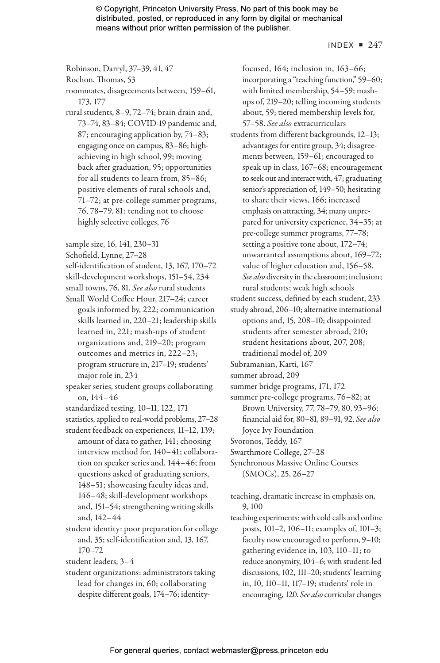$INDEX = 247$ 

Robinson, Darryl, 37–39, 41, 47

Rochon, Thomas, 53

roommates, disagreements between, 159–61, 173, 177

rural students, 8–9, 72–74; brain drain and, 73–74, 83–84; COVID-19 pandemic and, 87; encouraging application by, 74–83; engaging once on campus, 83–86; highachieving in high school, 99; moving back after graduation, 95; opportunities for all students to learn from, 85–86; positive elements of rural schools and, 71–72; at pre-college summer programs, 76, 78–79, 81; tending not to choose highly selective colleges, 76

sample size, 16, 141, 230–31

- Schofield, Lynne, 27–28
- self-identification of student, 13, 167, 170–72
- skill-development workshops, 151–54, 234

small towns, 76, 81. *See also* rural students

Small World Coffee Hour, 217–24; career goals informed by, 222; communication skills learned in, 220–21; leadership skills learned in, 221; mash-ups of student organizations and, 219–20; program outcomes and metrics in, 222–23; program structure in, 217–19; students' major role in, 234

speaker series, student groups collaborating on, 144–46

- standardized testing, 10–11, 122, 171
- statistics, applied to real-world problems, 27–28
- student feedback on experiences, 11–12, 139; amount of data to gather, 141; choosing interview method for, 140–41; collaboration on speaker series and, 144–46; from questions asked of graduating seniors, 148–51; showcasing faculty ideas and, 146–48; skill-development workshops and, 151–54; strengthening writing skills and, 142–44
- student identity: poor preparation for college and, 35; self-identification and, 13, 167, 170–72
- student leaders, 3–4
- student organizations: administrators taking lead for changes in, 60; collaborating despite different goals, 174–76; identity-

focused, 164; inclusion in, 163–66; incorporating a "teaching function," 59–60; with limited membership, 54–59; mashups of, 219–20; telling incoming students about, 59; tiered membership levels for, 57–58. *See also* extracurriculars

- students from different backgrounds, 12–13; advantages for entire group, 34; disagreements between, 159–61; encouraged to speak up in class, 167–68; encouragement to seek out and interact with, 47; graduating senior's appreciation of, 149–50; hesitating to share their views, 166; increased emphasis on attracting, 34; many unprepared for university experience, 34–35; at pre-college summer programs, 77–78; setting a positive tone about, 172–74; unwarranted assumptions about, 169–72; value of higher education and, 156–58. *See also* diversity in the classroom; inclusion; rural students; weak high schools
- student success, defined by each student, 233 study abroad, 206–10; alternative international options and, 15, 208–10; disappointed students after semester abroad, 210;
	- student hesitations about, 207, 208; traditional model of, 209
- Subramanian, Karti, 167
- summer abroad, 209
- summer bridge programs, 171, 172
- summer pre-college programs, 76–82; at Brown University, 77, 78–79, 80, 93–96; financial aid for, 80–81, 89–91, 92. *See also* Joyce Ivy Foundation
- Svoronos, Teddy, 167
- Swarthmore College, 27–28
- Synchronous Massive Online Courses (SMOCs), 25, 26–27
- teaching, dramatic increase in emphasis on, 9, 100
- teaching experiments: with cold calls and online posts, 101–2, 106–11; examples of, 101–3; faculty now encouraged to perform, 9–10; gathering evidence in, 103, 110–11; to reduce anonymity, 104–6; with student-led discussions, 102, 111–20; students' learning in, 10, 110–11, 117–19; students' role in encouraging, 120. *See also* curricular changes